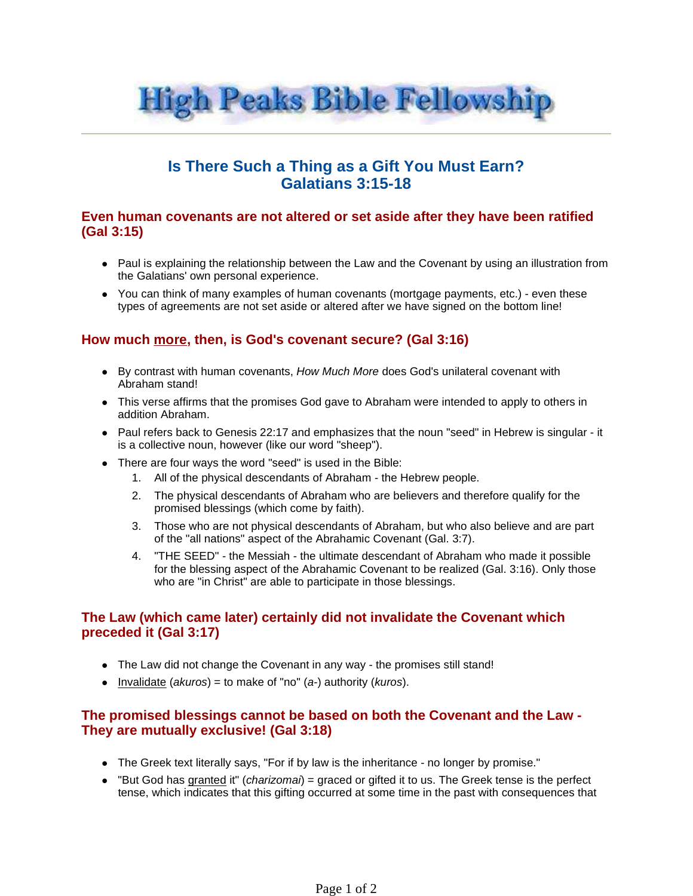

# **Is There Such a Thing as a Gift You Must Earn? Galatians 3:15-18**

#### **Even human covenants are not altered or set aside after they have been ratified (Gal 3:15)**

- Paul is explaining the relationship between the Law and the Covenant by using an illustration from the Galatians' own personal experience.
- You can think of many examples of human covenants (mortgage payments, etc.) even these types of agreements are not set aside or altered after we have signed on the bottom line!

## **How much more, then, is God's covenant secure? (Gal 3:16)**

- By contrast with human covenants, How Much More does God's unilateral covenant with Abraham stand!
- This verse affirms that the promises God gave to Abraham were intended to apply to others in addition Abraham.
- Paul refers back to Genesis 22:17 and emphasizes that the noun "seed" in Hebrew is singular it is a collective noun, however (like our word "sheep").
- There are four ways the word "seed" is used in the Bible:
	- 1. All of the physical descendants of Abraham the Hebrew people.
	- 2. The physical descendants of Abraham who are believers and therefore qualify for the promised blessings (which come by faith).
	- 3. Those who are not physical descendants of Abraham, but who also believe and are part of the "all nations" aspect of the Abrahamic Covenant (Gal. 3:7).
	- 4. "THE SEED" the Messiah the ultimate descendant of Abraham who made it possible for the blessing aspect of the Abrahamic Covenant to be realized (Gal. 3:16). Only those who are "in Christ" are able to participate in those blessings.

### **The Law (which came later) certainly did not invalidate the Covenant which preceded it (Gal 3:17)**

- The Law did not change the Covenant in any way the promises still stand!
- Invalidate (akuros) = to make of "no" (a-) authority (kuros).

### **The promised blessings cannot be based on both the Covenant and the Law - They are mutually exclusive! (Gal 3:18)**

- The Greek text literally says, "For if by law is the inheritance no longer by promise."
- $\bullet$  "But God has granted it" (*charizomai*) = graced or gifted it to us. The Greek tense is the perfect tense, which indicates that this gifting occurred at some time in the past with consequences that